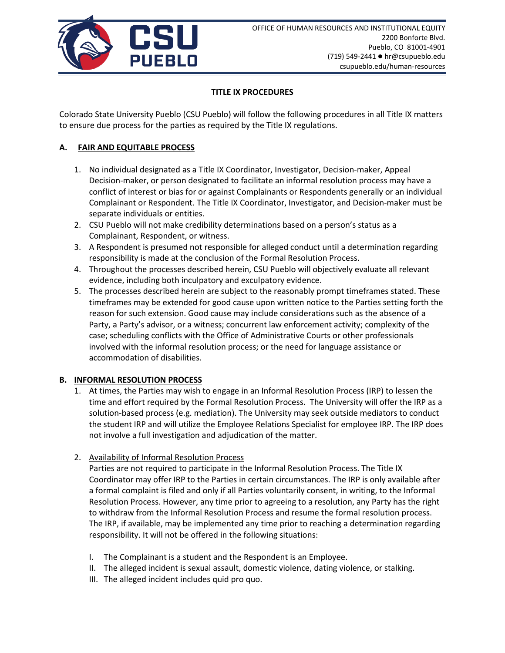

## **TITLE IX PROCEDURES**

Colorado State University Pueblo (CSU Pueblo) will follow the following procedures in all Title IX matters to ensure due process for the parties as required by the Title IX regulations.

# **A. FAIR AND EQUITABLE PROCESS**

- 1. No individual designated as a Title IX Coordinator, Investigator, Decision-maker, Appeal Decision-maker, or person designated to facilitate an informal resolution process may have a conflict of interest or bias for or against Complainants or Respondents generally or an individual Complainant or Respondent. The Title IX Coordinator, Investigator, and Decision-maker must be separate individuals or entities.
- 2. CSU Pueblo will not make credibility determinations based on a person's status as a Complainant, Respondent, or witness.
- 3. A Respondent is presumed not responsible for alleged conduct until a determination regarding responsibility is made at the conclusion of the Formal Resolution Process.
- 4. Throughout the processes described herein, CSU Pueblo will objectively evaluate all relevant evidence, including both inculpatory and exculpatory evidence.
- 5. The processes described herein are subject to the reasonably prompt timeframes stated. These timeframes may be extended for good cause upon written notice to the Parties setting forth the reason for such extension. Good cause may include considerations such as the absence of a Party, a Party's advisor, or a witness; concurrent law enforcement activity; complexity of the case; scheduling conflicts with the Office of Administrative Courts or other professionals involved with the informal resolution process; or the need for language assistance or accommodation of disabilities.

## **B. INFORMAL RESOLUTION PROCESS**

- 1. At times, the Parties may wish to engage in an Informal Resolution Process (IRP) to lessen the time and effort required by the Formal Resolution Process. The University will offer the IRP as a solution-based process (e.g. mediation). The University may seek outside mediators to conduct the student IRP and will utilize the Employee Relations Specialist for employee IRP. The IRP does not involve a full investigation and adjudication of the matter.
- 2. Availability of Informal Resolution Process

Parties are not required to participate in the Informal Resolution Process. The Title IX Coordinator may offer IRP to the Parties in certain circumstances. The IRP is only available after a formal complaint is filed and only if all Parties voluntarily consent, in writing, to the Informal Resolution Process. However, any time prior to agreeing to a resolution, any Party has the right to withdraw from the Informal Resolution Process and resume the formal resolution process. The IRP, if available, may be implemented any time prior to reaching a determination regarding responsibility. It will not be offered in the following situations:

- I. The Complainant is a student and the Respondent is an Employee.
- II. The alleged incident is sexual assault, domestic violence, dating violence, or stalking.
- III. The alleged incident includes quid pro quo.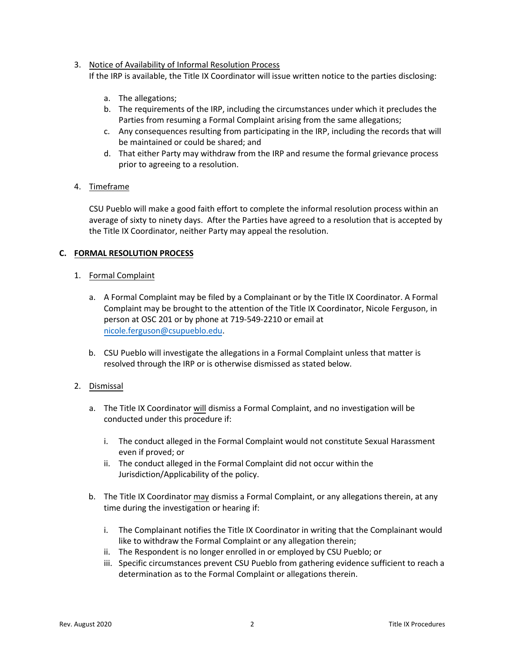3. Notice of Availability of Informal Resolution Process

If the IRP is available, the Title IX Coordinator will issue written notice to the parties disclosing:

- a. The allegations;
- b. The requirements of the IRP, including the circumstances under which it precludes the Parties from resuming a Formal Complaint arising from the same allegations;
- c. Any consequences resulting from participating in the IRP, including the records that will be maintained or could be shared; and
- d. That either Party may withdraw from the IRP and resume the formal grievance process prior to agreeing to a resolution.

## 4. Timeframe

CSU Pueblo will make a good faith effort to complete the informal resolution process within an average of sixty to ninety days. After the Parties have agreed to a resolution that is accepted by the Title IX Coordinator, neither Party may appeal the resolution.

## **C. FORMAL RESOLUTION PROCESS**

## 1. Formal Complaint

- a. A Formal Complaint may be filed by a Complainant or by the Title IX Coordinator. A Formal Complaint may be brought to the attention of the Title IX Coordinator, Nicole Ferguson, in person at OSC 201 or by phone at 719-549-2210 or email at nicole.ferguson[@csupueblo.edu](mailto:kat.abernathy@csupueblo.edu).
- b. CSU Pueblo will investigate the allegations in a Formal Complaint unless that matter is resolved through the IRP or is otherwise dismissed as stated below.

## 2. Dismissal

- a. The Title IX Coordinator will dismiss a Formal Complaint, and no investigation will be conducted under this procedure if:
	- i. The conduct alleged in the Formal Complaint would not constitute Sexual Harassment even if proved; or
	- ii. The conduct alleged in the Formal Complaint did not occur within the Jurisdiction/Applicability of the policy.
- b. The Title IX Coordinator may dismiss a Formal Complaint, or any allegations therein, at any time during the investigation or hearing if:
	- i. The Complainant notifies the Title IX Coordinator in writing that the Complainant would like to withdraw the Formal Complaint or any allegation therein;
	- ii. The Respondent is no longer enrolled in or employed by CSU Pueblo; or
	- iii. Specific circumstances prevent CSU Pueblo from gathering evidence sufficient to reach a determination as to the Formal Complaint or allegations therein.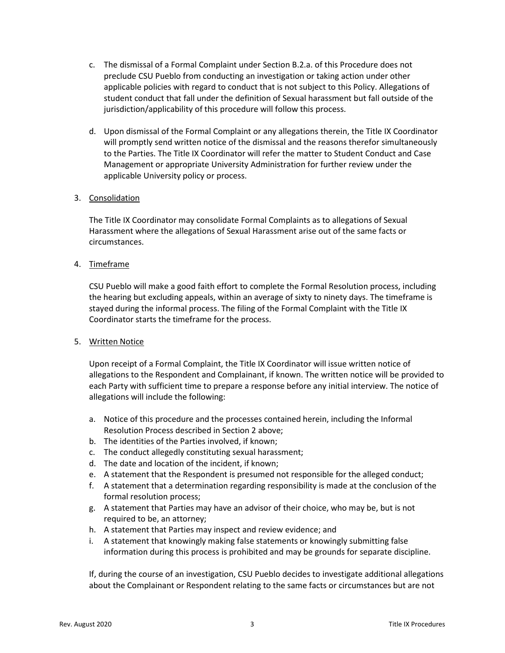- c. The dismissal of a Formal Complaint under Section B.2.a. of this Procedure does not preclude CSU Pueblo from conducting an investigation or taking action under other applicable policies with regard to conduct that is not subject to this Policy. Allegations of student conduct that fall under the definition of Sexual harassment but fall outside of the jurisdiction/applicability of this procedure will follow this process.
- d. Upon dismissal of the Formal Complaint or any allegations therein, the Title IX Coordinator will promptly send written notice of the dismissal and the reasons therefor simultaneously to the Parties. The Title IX Coordinator will refer the matter to Student Conduct and Case Management or appropriate University Administration for further review under the applicable University policy or process.

#### 3. Consolidation

The Title IX Coordinator may consolidate Formal Complaints as to allegations of Sexual Harassment where the allegations of Sexual Harassment arise out of the same facts or circumstances.

## 4. Timeframe

CSU Pueblo will make a good faith effort to complete the Formal Resolution process, including the hearing but excluding appeals, within an average of sixty to ninety days. The timeframe is stayed during the informal process. The filing of the Formal Complaint with the Title IX Coordinator starts the timeframe for the process.

#### 5. Written Notice

Upon receipt of a Formal Complaint, the Title IX Coordinator will issue written notice of allegations to the Respondent and Complainant, if known. The written notice will be provided to each Party with sufficient time to prepare a response before any initial interview. The notice of allegations will include the following:

- a. Notice of this procedure and the processes contained herein, including the Informal Resolution Process described in Section 2 above;
- b. The identities of the Parties involved, if known;
- c. The conduct allegedly constituting sexual harassment;
- d. The date and location of the incident, if known;
- e. A statement that the Respondent is presumed not responsible for the alleged conduct;
- f. A statement that a determination regarding responsibility is made at the conclusion of the formal resolution process;
- g. A statement that Parties may have an advisor of their choice, who may be, but is not required to be, an attorney;
- h. A statement that Parties may inspect and review evidence; and
- i. A statement that knowingly making false statements or knowingly submitting false information during this process is prohibited and may be grounds for separate discipline.

If, during the course of an investigation, CSU Pueblo decides to investigate additional allegations about the Complainant or Respondent relating to the same facts or circumstances but are not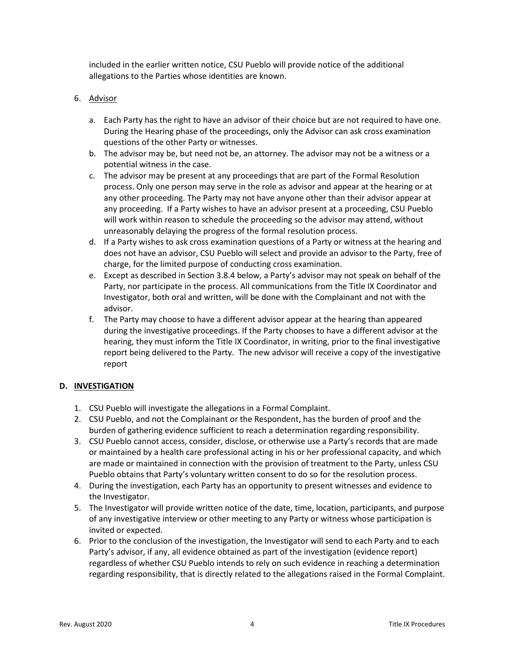included in the earlier written notice, CSU Pueblo will provide notice of the additional allegations to the Parties whose identities are known.

## 6. Advisor

- a. Each Party has the right to have an advisor of their choice but are not required to have one. During the Hearing phase of the proceedings, only the Advisor can ask cross examination questions of the other Party or witnesses.
- b. The advisor may be, but need not be, an attorney. The advisor may not be a witness or a potential witness in the case.
- c. The advisor may be present at any proceedings that are part of the Formal Resolution process. Only one person may serve in the role as advisor and appear at the hearing or at any other proceeding. The Party may not have anyone other than their advisor appear at any proceeding. If a Party wishes to have an advisor present at a proceeding, CSU Pueblo will work within reason to schedule the proceeding so the advisor may attend, without unreasonably delaying the progress of the formal resolution process.
- d. If a Party wishes to ask cross examination questions of a Party or witness at the hearing and does not have an advisor, CSU Pueblo will select and provide an advisor to the Party, free of charge, for the limited purpose of conducting cross examination.
- e. Except as described in Section 3.8.4 below, a Party's advisor may not speak on behalf of the Party, nor participate in the process. All communications from the Title IX Coordinator and Investigator, both oral and written, will be done with the Complainant and not with the advisor.
- f. The Party may choose to have a different advisor appear at the hearing than appeared during the investigative proceedings. If the Party chooses to have a different advisor at the hearing, they must inform the Title IX Coordinator, in writing, prior to the final investigative report being delivered to the Party. The new advisor will receive a copy of the investigative report

## **D. INVESTIGATION**

- 1. CSU Pueblo will investigate the allegations in a Formal Complaint.
- 2. CSU Pueblo, and not the Complainant or the Respondent, has the burden of proof and the burden of gathering evidence sufficient to reach a determination regarding responsibility.
- 3. CSU Pueblo cannot access, consider, disclose, or otherwise use a Party's records that are made or maintained by a health care professional acting in his or her professional capacity, and which are made or maintained in connection with the provision of treatment to the Party, unless CSU Pueblo obtains that Party's voluntary written consent to do so for the resolution process.
- 4. During the investigation, each Party has an opportunity to present witnesses and evidence to the Investigator.
- 5. The Investigator will provide written notice of the date, time, location, participants, and purpose of any investigative interview or other meeting to any Party or witness whose participation is invited or expected.
- 6. Prior to the conclusion of the investigation, the Investigator will send to each Party and to each Party's advisor, if any, all evidence obtained as part of the investigation (evidence report) regardless of whether CSU Pueblo intends to rely on such evidence in reaching a determination regarding responsibility, that is directly related to the allegations raised in the Formal Complaint.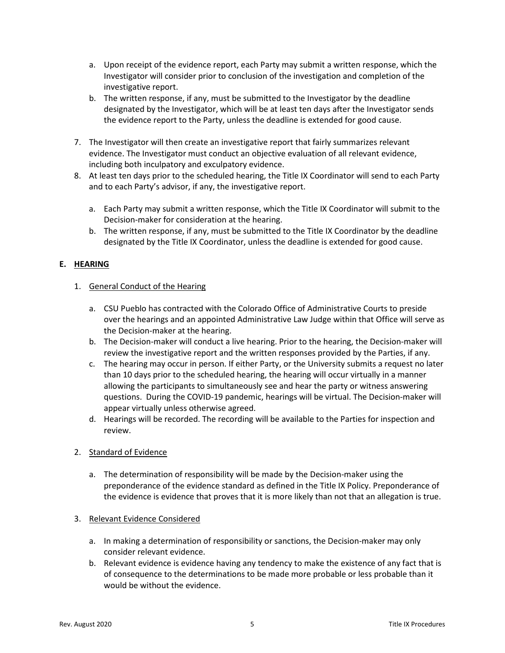- a. Upon receipt of the evidence report, each Party may submit a written response, which the Investigator will consider prior to conclusion of the investigation and completion of the investigative report.
- b. The written response, if any, must be submitted to the Investigator by the deadline designated by the Investigator, which will be at least ten days after the Investigator sends the evidence report to the Party, unless the deadline is extended for good cause.
- 7. The Investigator will then create an investigative report that fairly summarizes relevant evidence. The Investigator must conduct an objective evaluation of all relevant evidence, including both inculpatory and exculpatory evidence.
- 8. At least ten days prior to the scheduled hearing, the Title IX Coordinator will send to each Party and to each Party's advisor, if any, the investigative report.
	- a. Each Party may submit a written response, which the Title IX Coordinator will submit to the Decision-maker for consideration at the hearing.
	- b. The written response, if any, must be submitted to the Title IX Coordinator by the deadline designated by the Title IX Coordinator, unless the deadline is extended for good cause.

## **E. HEARING**

#### 1. General Conduct of the Hearing

- a. CSU Pueblo has contracted with the Colorado Office of Administrative Courts to preside over the hearings and an appointed Administrative Law Judge within that Office will serve as the Decision-maker at the hearing.
- b. The Decision-maker will conduct a live hearing. Prior to the hearing, the Decision-maker will review the investigative report and the written responses provided by the Parties, if any.
- c. The hearing may occur in person. If either Party, or the University submits a request no later than 10 days prior to the scheduled hearing, the hearing will occur virtually in a manner allowing the participants to simultaneously see and hear the party or witness answering questions. During the COVID-19 pandemic, hearings will be virtual. The Decision-maker will appear virtually unless otherwise agreed.
- d. Hearings will be recorded. The recording will be available to the Parties for inspection and review.

#### 2. Standard of Evidence

- a. The determination of responsibility will be made by the Decision-maker using the preponderance of the evidence standard as defined in the Title IX Policy. Preponderance of the evidence is evidence that proves that it is more likely than not that an allegation is true.
- 3. Relevant Evidence Considered
	- a. In making a determination of responsibility or sanctions, the Decision-maker may only consider relevant evidence.
	- b. Relevant evidence is evidence having any tendency to make the existence of any fact that is of consequence to the determinations to be made more probable or less probable than it would be without the evidence.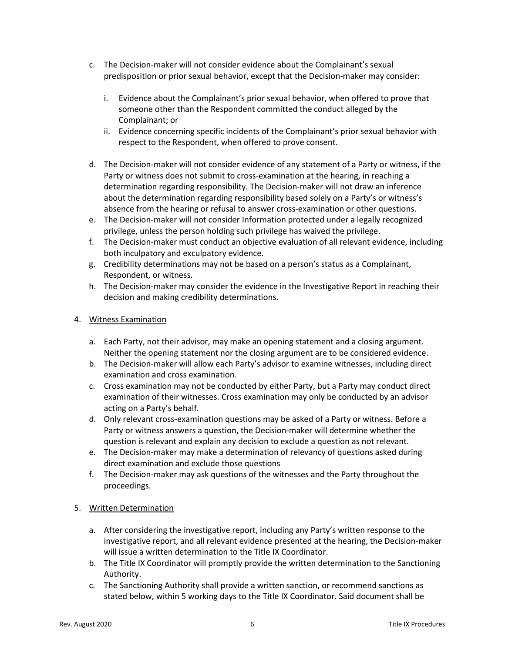- c. The Decision-maker will not consider evidence about the Complainant's sexual predisposition or prior sexual behavior, except that the Decision-maker may consider:
	- i. Evidence about the Complainant's prior sexual behavior, when offered to prove that someone other than the Respondent committed the conduct alleged by the Complainant; or
	- ii. Evidence concerning specific incidents of the Complainant's prior sexual behavior with respect to the Respondent, when offered to prove consent.
- d. The Decision-maker will not consider evidence of any statement of a Party or witness, if the Party or witness does not submit to cross-examination at the hearing, in reaching a determination regarding responsibility. The Decision-maker will not draw an inference about the determination regarding responsibility based solely on a Party's or witness's absence from the hearing or refusal to answer cross-examination or other questions.
- e. The Decision-maker will not consider Information protected under a legally recognized privilege, unless the person holding such privilege has waived the privilege.
- f. The Decision-maker must conduct an objective evaluation of all relevant evidence, including both inculpatory and exculpatory evidence.
- g. Credibility determinations may not be based on a person's status as a Complainant, Respondent, or witness.
- h. The Decision-maker may consider the evidence in the Investigative Report in reaching their decision and making credibility determinations.

## 4. Witness Examination

- a. Each Party, not their advisor, may make an opening statement and a closing argument. Neither the opening statement nor the closing argument are to be considered evidence.
- b. The Decision-maker will allow each Party's advisor to examine witnesses, including direct examination and cross examination.
- c. Cross examination may not be conducted by either Party, but a Party may conduct direct examination of their witnesses. Cross examination may only be conducted by an advisor acting on a Party's behalf.
- d. Only relevant cross-examination questions may be asked of a Party or witness. Before a Party or witness answers a question, the Decision-maker will determine whether the question is relevant and explain any decision to exclude a question as not relevant.
- e. The Decision-maker may make a determination of relevancy of questions asked during direct examination and exclude those questions
- f. The Decision-maker may ask questions of the witnesses and the Party throughout the proceedings.

## 5. Written Determination

- a. After considering the investigative report, including any Party's written response to the investigative report, and all relevant evidence presented at the hearing, the Decision-maker will issue a written determination to the Title IX Coordinator.
- b. The Title IX Coordinator will promptly provide the written determination to the Sanctioning Authority.
- c. The Sanctioning Authority shall provide a written sanction, or recommend sanctions as stated below, within 5 working days to the Title IX Coordinator. Said document shall be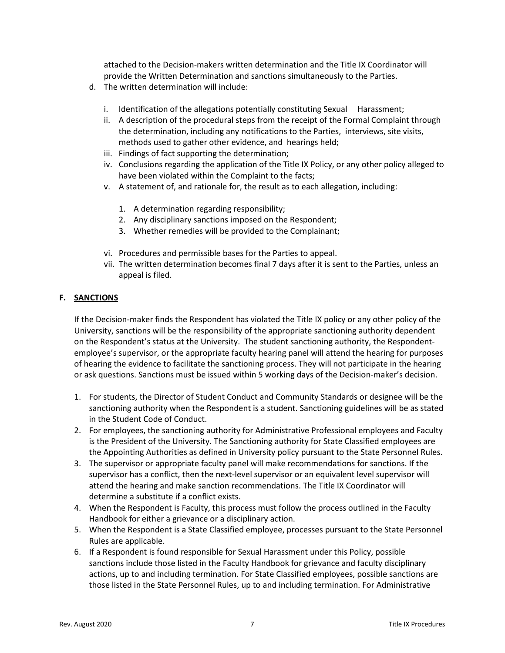attached to the Decision-makers written determination and the Title IX Coordinator will provide the Written Determination and sanctions simultaneously to the Parties.

- d. The written determination will include:
	- i. Identification of the allegations potentially constituting Sexual Harassment;
	- ii. A description of the procedural steps from the receipt of the Formal Complaint through the determination, including any notifications to the Parties, interviews, site visits, methods used to gather other evidence, and hearings held;
	- iii. Findings of fact supporting the determination;
	- iv. Conclusions regarding the application of the Title IX Policy, or any other policy alleged to have been violated within the Complaint to the facts;
	- v. A statement of, and rationale for, the result as to each allegation, including:
		- 1. A determination regarding responsibility;
		- 2. Any disciplinary sanctions imposed on the Respondent;
		- 3. Whether remedies will be provided to the Complainant;
	- vi. Procedures and permissible bases for the Parties to appeal.
	- vii. The written determination becomes final 7 days after it is sent to the Parties, unless an appeal is filed.

## **F. SANCTIONS**

If the Decision-maker finds the Respondent has violated the Title IX policy or any other policy of the University, sanctions will be the responsibility of the appropriate sanctioning authority dependent on the Respondent's status at the University. The student sanctioning authority, the Respondentemployee's supervisor, or the appropriate faculty hearing panel will attend the hearing for purposes of hearing the evidence to facilitate the sanctioning process. They will not participate in the hearing or ask questions. Sanctions must be issued within 5 working days of the Decision-maker's decision.

- 1. For students, the Director of Student Conduct and Community Standards or designee will be the sanctioning authority when the Respondent is a student. Sanctioning guidelines will be as stated in the Student Code of Conduct.
- 2. For employees, the sanctioning authority for Administrative Professional employees and Faculty is the President of the University. The Sanctioning authority for State Classified employees are the Appointing Authorities as defined in University policy pursuant to the State Personnel Rules.
- 3. The supervisor or appropriate faculty panel will make recommendations for sanctions. If the supervisor has a conflict, then the next-level supervisor or an equivalent level supervisor will attend the hearing and make sanction recommendations. The Title IX Coordinator will determine a substitute if a conflict exists.
- 4. When the Respondent is Faculty, this process must follow the process outlined in the Faculty Handbook for either a grievance or a disciplinary action.
- 5. When the Respondent is a State Classified employee, processes pursuant to the State Personnel Rules are applicable.
- 6. If a Respondent is found responsible for Sexual Harassment under this Policy, possible sanctions include those listed in the Faculty Handbook for grievance and faculty disciplinary actions, up to and including termination. For State Classified employees, possible sanctions are those listed in the State Personnel Rules, up to and including termination. For Administrative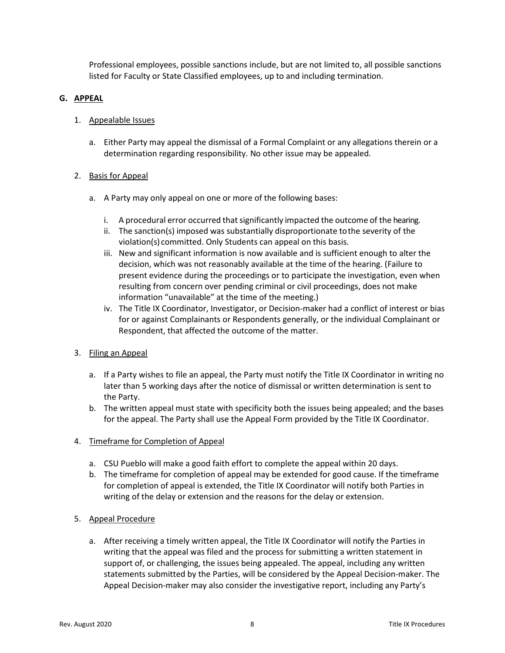Professional employees, possible sanctions include, but are not limited to, all possible sanctions listed for Faculty or State Classified employees, up to and including termination.

#### **G. APPEAL**

## 1. Appealable Issues

a. Either Party may appeal the dismissal of a Formal Complaint or any allegations therein or a determination regarding responsibility. No other issue may be appealed.

## 2. Basis for Appeal

- a. A Party may only appeal on one or more of the following bases:
	- i. A procedural error occurred that significantly impacted the outcome of the hearing.
	- ii. The sanction(s) imposed was substantially disproportionate tothe severity of the violation(s) committed. Only Students can appeal on this basis.
	- iii. New and significant information is now available and is sufficient enough to alter the decision, which was not reasonably available at the time of the hearing. (Failure to present evidence during the proceedings or to participate the investigation, even when resulting from concern over pending criminal or civil proceedings, does not make information "unavailable" at the time of the meeting.)
	- iv. The Title IX Coordinator, Investigator, or Decision-maker had a conflict of interest or bias for or against Complainants or Respondents generally, or the individual Complainant or Respondent, that affected the outcome of the matter.

## 3. Filing an Appeal

- a. If a Party wishes to file an appeal, the Party must notify the Title IX Coordinator in writing no later than 5 working days after the notice of dismissal or written determination is sent to the Party.
- b. The written appeal must state with specificity both the issues being appealed; and the bases for the appeal. The Party shall use the Appeal Form provided by the Title IX Coordinator.
- 4. Timeframe for Completion of Appeal
	- a. CSU Pueblo will make a good faith effort to complete the appeal within 20 days.
	- b. The timeframe for completion of appeal may be extended for good cause. If the timeframe for completion of appeal is extended, the Title IX Coordinator will notify both Parties in writing of the delay or extension and the reasons for the delay or extension.
- 5. Appeal Procedure
	- a. After receiving a timely written appeal, the Title IX Coordinator will notify the Parties in writing that the appeal was filed and the process for submitting a written statement in support of, or challenging, the issues being appealed. The appeal, including any written statements submitted by the Parties, will be considered by the Appeal Decision-maker. The Appeal Decision-maker may also consider the investigative report, including any Party's